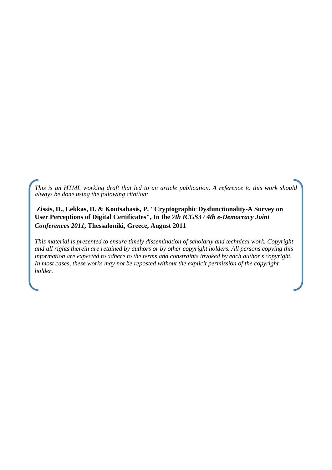*This is an HTML working draft that led to an article publication. A reference to this work should always be done using the following citation:*

**Zissis, D., Lekkas, D. & Koutsabasis, P. "Cryptographic Dysfunctionality-A Survey on User Perceptions of Digital Certificates", In the** *7th ICGS3 / 4th e-Democracy Joint Conferences 2011***, Thessaloniki, Greece, August 2011**

*This material is presented to ensure timely dissemination of scholarly and technical work. Copyright and all rights therein are retained by authors or by other copyright holders. All persons copying this information are expected to adhere to the terms and constraints invoked by each author's copyright. In most cases, these works may not be reposted without the explicit permission of the copyright holder.*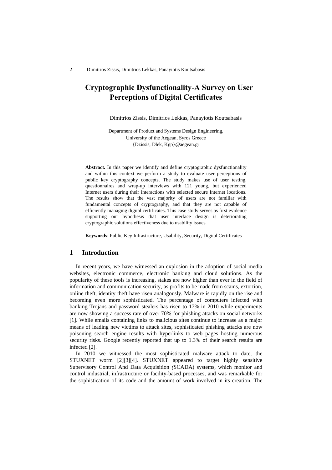# **Cryptographic Dysfunctionality-A Survey on User Perceptions of Digital Certificates**

Dimitrios Zissis, Dimitrios Lekkas, Panayiotis Koutsabasis

Department of Product and Systems Design Engineering, University of the Aegean, Syros Greece {Dzissis, Dlek, Kgp}@aegean.gr

**Abstract.** In this paper we identify and define cryptographic dysfunctionality and within this context we perform a study to evaluate user perceptions of public key cryptography concepts. The study makes use of user testing, questionnaires and wrap-up interviews with 121 young, but experienced Internet users during their interactions with selected secure Internet locations. The results show that the vast majority of users are not familiar with fundamental concepts of cryptography, and that they are not capable of efficiently managing digital certificates. This case study serves as first evidence supporting our hypothesis that user interface design is deteriorating cryptographic solutions effectiveness due to usability issues.

**Keywords**: Public Key Infrastructure, Usability, Security, Digital Certificates

# **1 Introduction**

In recent years, we have witnessed an explosion in the adoption of social media websites, electronic commerce, electronic banking and cloud solutions. As the popularity of these tools is increasing, stakes are now higher than ever in the field of information and communication security, as profits to be made from scams, extortion, online theft, identity theft have risen analogously. Malware is rapidly on the rise and becoming even more sophisticated. The percentage of computers infected with banking Trojans and password stealers has risen to 17% in 2010 while experiments are now showing a success rate of over 70% for phishing attacks on social networks [1]. While emails containing links to malicious sites continue to increase as a major means of leading new victims to attack sites, sophisticated phishing attacks are now poisoning search engine results with hyperlinks to web pages hosting numerous security risks. Google recently reported that up to 1.3% of their search results are infected [2].

In 2010 we witnessed the most sophisticated malware attack to date, the STUXNET worm [2][3][4]. STUXNET appeared to target highly sensitive Supervisory Control And Data Acquisition *(*SCADA) systems, which monitor and control industrial, infrastructure or facility-based processes, and was remarkable for the sophistication of its code and the amount of work involved in its creation. The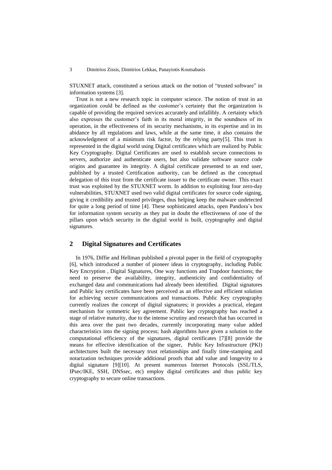STUXNET attack, constituted a serious attack on the notion of "trusted software" in information systems [3].

Trust is not a new research topic in computer science. The notion of trust in an organization could be defined as the customer"s certainty that the organization is capable of providing the required services accurately and infallibly. A certainty which also expresses the customer"s faith in its moral integrity, in the soundness of its operation, in the effectiveness of its security mechanisms, in its expertise and in its abidance by all regulations and laws, while at the same time, it also contains the acknowledgment of a minimum risk factor, by the relying party[5]. This trust is represented in the digital world using Digital certificates which are realized by Public Key Cryptography. Digital Certificates are used to establish secure connections to servers, authorize and authenticate users, but also validate software source code origins and guarantee its integrity. A digital certificate presented to an end user, published by a trusted Certification authority, can be defined as the conceptual delegation of this trust from the certificate issuer to the certificate owner. This exact trust was exploited by the STUXNET worm. In addition to exploiting four zero-day vulnerabilities, STUXNET used two valid digital certificates for source code signing, giving it credibility and trusted privileges, thus helping keep the malware undetected for quite a long period of time [4]. These sophisticated attacks, open Pandora"s box for information system security as they put in doubt the effectiveness of one of the pillars upon which security in the digital world is built, cryptography and digital signatures.

# **2 Digital Signatures and Certificates**

In 1976, Diffie and Hellman published a pivotal paper in the field of cryptography [6], which introduced a number of pioneer ideas in cryptography, including Public Key Encryption , Digital Signatures, One way functions and Trapdoor functions; the need to preserve the availability, integrity, authenticity and confidentiality of exchanged data and communications had already been identified. Digital signatures and Public key certificates have been perceived as an effective and efficient solution for achieving secure communications and transactions. Public Key cryptography currently realizes the concept of digital signatures; it provides a practical, elegant mechanism for symmetric key agreement. Public key cryptography has reached a stage of relative maturity, due to the intense scrutiny and research that has occurred in this area over the past two decades, currently incorporating many value added characteristics into the signing process; hash algorithms have given a solution to the computational efficiency of the signatures, digital certificates [7][8] provide the means for effective identification of the signer, Public Key Infrastructure (PKI) architectures built the necessary trust relationships and finally time-stamping and notarization techniques provide additional proofs that add value and longevity to a digital signature [9][10]. At present numerous Internet Protocols (SSL/TLS, IPsec/IKE, SSH, DNSsec, etc) employ digital certificates and thus public key cryptography to secure online transactions.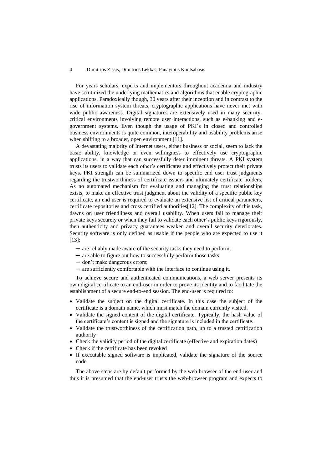For years scholars, experts and implementors throughout academia and industry have scrutinized the underlying mathematics and algorithms that enable cryptographic applications. Paradoxically though, 30 years after their inception and in contrast to the rise of information system threats, cryptographic applications have never met with wide public awareness. Digital signatures are extensively used in many securitycritical environments involving remote user interactions, such as e-banking and egovernment systems. Even though the usage of PKI"s in closed and controlled business environments is quite common, interoperability and usability problems arise when shifting to a broader, open environment [11].

A devastating majority of Internet users, either business or social, seem to lack the basic ability, knowledge or even willingness to effectively use cryptographic applications, in a way that can successfully deter imminent threats. A PKI system trusts its users to validate each other"s certificates and effectively protect their private keys. PKI strength can be summarized down to specific end user trust judgments regarding the trustworthiness of certificate issuers and ultimately certificate holders. As no automated mechanism for evaluating and managing the trust relationships exists, to make an effective trust judgment about the validity of a specific public key certificate, an end user is required to evaluate an extensive list of critical parameters, certificate repositories and cross certified authorities[12]. The complexity of this task, dawns on user friendliness and overall usability. When users fail to manage their private keys securely or when they fail to validate each other's public keys rigorously, then authenticity and privacy guarantees weaken and overall security deteriorates. Security software is only defined as usable if the people who are expected to use it [13]:

- ─ are reliably made aware of the security tasks they need to perform;
- ─ are able to figure out how to successfully perform those tasks;
- ─ don"t make dangerous errors;
- ─ are sufficiently comfortable with the interface to continue using it.

To achieve secure and authenticated communications, a web server presents its own digital certificate to an end-user in order to prove its identity and to facilitate the establishment of a secure end-to-end session. The end-user is required to:

- Validate the subject on the digital certificate. In this case the subject of the certificate is a domain name, which must match the domain currently visited.
- Validate the signed content of the digital certificate. Typically, the hash value of the certificate"s content is signed and the signature is included in the certificate.
- Validate the trustworthiness of the certification path, up to a trusted certification authority
- Check the validity period of the digital certificate (effective and expiration dates)
- Check if the certificate has been revoked
- If executable signed software is implicated, validate the signature of the source code

The above steps are by default performed by the web browser of the end-user and thus it is presumed that the end-user trusts the web-browser program and expects to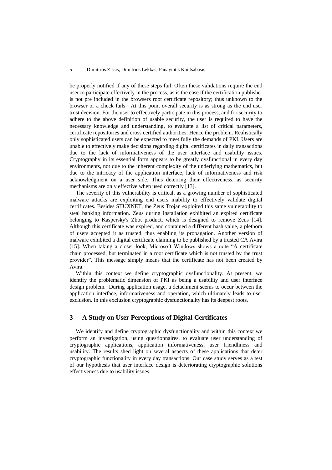be properly notified if any of these steps fail. Often these validations require the end user to participate effectively in the process, as is the case if the certification publisher is not pre included in the browsers root certificate repository; thus unknown to the browser or a check fails. At this point overall security is as strong as the end user trust decision. For the user to effectively participate in this process, and for security to adhere to the above definition of usable security, the user is required to have the necessary knowledge and understanding, to evaluate a list of critical parameters, certificate repositories and cross certified authorities. Hence the problem. Realistically only sophisticated users can be expected to meet fully the demands of PKI. Users are unable to effectively make decisions regarding digital certificates in daily transactions due to the lack of informativeness of the user interface and usability issues. Cryptography in its essential form appears to be greatly dysfunctional in every day environments, not due to the inherent complexity of the underlying mathematics, but due to the intricacy of the application interface, lack of informativeness and risk acknowledgment on a user side. Thus deterring their effectiveness, as security mechanisms are only effective when used correctly [13].

The severity of this vulnerability is critical, as a growing number of sophisticated malware attacks are exploiting end users inability to effectively validate digital certificates. Besides STUXNET, the Zeus Trojan exploited this same vulnerability to steal banking information. Zeus during installation exhibited an expired certificate belonging to Kaspersky's Zbot product, which is designed to remove Zeus [14]. Although this certificate was expired, and contained a different hash value, a plethora of users accepted it as trusted, thus enabling its propagation. Another version of malware exhibited a digital certificate claiming to be published by a trusted CA Avira [15]. When taking a closer look, Microsoft Windows shows a note "A certificate chain processed, but terminated in a root certificate which is not trusted by the trust provider". This message simply means that the certificate has not been created by Avira.

Within this context we define cryptographic dysfunctionality. At present, we identify the problematic dimension of PKI as being a usability and user interface design problem. During application usage, a detachment seems to occur between the application interface, informativeness and operation, which ultimately leads to user exclusion. In this exclusion cryptographic dysfunctionality has its deepest roots.

# **3 A Study on User Perceptions of Digital Certificates**

We identify and define cryptographic dysfunctionality and within this context we perform an investigation, using questionnaires, to evaluate user understanding of cryptographic applications, application informativeness, user friendliness and usability. The results shed light on several aspects of these applications that deter cryptographic functionality in every day transactions. Our case study serves as a test of our hypothesis that user interface design is deteriorating cryptographic solutions effectiveness due to usability issues.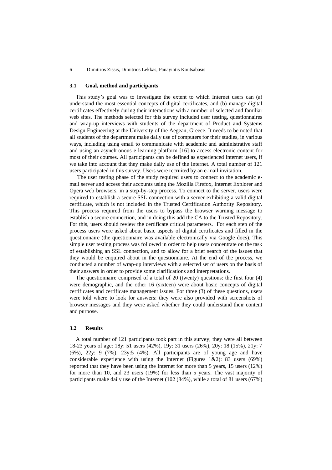#### **3.1 Goal, method and participants**

This study"s goal was to investigate the extent to which Internet users can (a) understand the most essential concepts of digital certificates, and (b) manage digital certificates effectively during their interactions with a number of selected and familiar web sites. The methods selected for this survey included user testing, questionnaires and wrap-up interviews with students of the department of Product and Systems Design Engineering at the University of the Aegean, Greece. It needs to be noted that all students of the department make daily use of computers for their studies, in various ways, including using email to communicate with academic and administrative staff and using an asynchronous e-learning platform [16] to access electronic content for most of their courses. All participants can be defined as experienced Internet users, if we take into account that they make daily use of the Internet. A total number of 121 users participated in this survey. Users were recruited by an e-mail invitation.

The user testing phase of the study required users to connect to the academic email server and access their accounts using the Mozilla Firefox, Internet Explorer and Opera web browsers, in a step-by-step process. To connect to the server, users were required to establish a secure SSL connection with a server exhibiting a valid digital certificate, which is not included in the Trusted Certification Authority Repository. This process required from the users to bypass the browser warning message to establish a secure connection, and in doing this add the CA to the Trusted Repository. For this, users should review the certificate critical parameters. For each step of the process users were asked about basic aspects of digital certificates and filled in the questionnaire (the questionnaire was available electronically via Google docs). This simple user testing process was followed in order to help users concentrate on the task of establishing an SSL connection, and to allow for a brief search of the issues that they would be enquired about in the questionnaire. At the end of the process, we conducted a number of wrap-up interviews with a selected set of users on the basis of their answers in order to provide some clarifications and interpretations.

The questionnaire comprised of a total of 20 (twenty) questions: the first four (4) were demographic, and the other 16 (sixteen) were about basic concepts of digital certificates and certificate management issues. For three (3) of these questions, users were told where to look for answers: they were also provided with screenshots of browser messages and they were asked whether they could understand their content and purpose.

## **3.2 Results**

A total number of 121 participants took part in this survey; they were all between 18-23 years of age: 18y: 51 users (42%), 19y: 31 users (26%), 20y: 18 (15%), 21y: 7  $(6\%)$ ,  $22y$ : 9  $(7\%)$ ,  $23y$ : 5  $(4\%)$ . All participants are of young age and have considerable experience with using the Internet (Figures 1&2): 83 users (69%) reported that they have been using the Internet for more than 5 years, 15 users (12%) for more than 10, and 23 users (19%) for less than 5 years. The vast majority of participants make daily use of the Internet (102 (84%), while a total of 81 users (67%)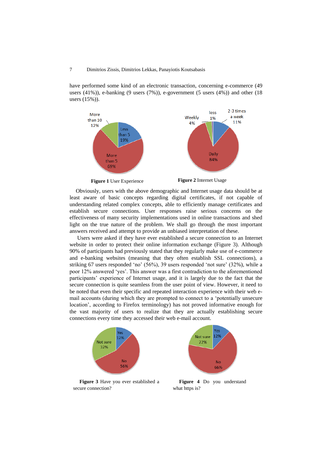have performed some kind of an electronic transaction, concerning e-commerce (49 users (41%)), e-banking (9 users (7%)), e-government (5 users (4%)) and other (18 users (15%)).



Obviously, users with the above demographic and Internet usage data should be at least aware of basic concepts regarding digital certificates, if not capable of understanding related complex concepts, able to efficiently manage certificates and establish secure connections. User responses raise serious concerns on the effectiveness of many security implementations used in online transactions and shed light on the true nature of the problem. We shall go through the most important answers received and attempt to provide an unbiased interpretation of these.

Users were asked if they have ever established a secure connection to an Internet website in order to protect their online information exchange (Figure 3). Although 90% of participants had previously stated that they regularly make use of e-commerce and e-banking websites (meaning that they often establish SSL connections), a striking 67 users responded "no" (56%), 39 users responded "not sure" (32%), while a poor 12% answered "yes". This answer was a first contradiction to the aforementioned participants" experience of Internet usage, and it is largely due to the fact that the secure connection is quite seamless from the user point of view. However, it need to be noted that even their specific and repeated interaction experience with their web email accounts (during which they are prompted to connect to a "potentially unsecure location", according to Firefox terminology) has not proved informative enough for the vast majority of users to realize that they are actually establishing secure connections every time they accessed their web e-mail account.

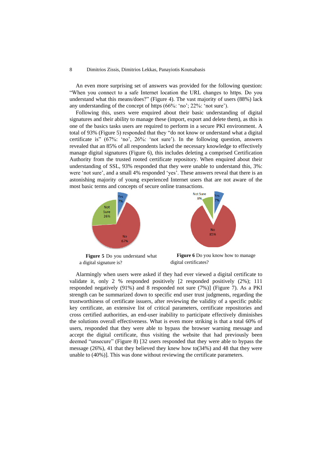An even more surprising set of answers was provided for the following question: "When you connect to a safe Internet location the URL changes to https. Do you understand what this means/does?" (Figure 4). The vast majority of users (88%) lack any understanding of the concept of https (66%: "no"; 22%: "not sure").

Following this, users were enquired about their basic understanding of digital signatures and their ability to manage these (import, export and delete them), as this is one of the basics tasks users are required to perform in a secure PKI environment. A total of 93% (Figure 5) responded that they "do not know or understand what a digital certificate is" (67%: "no", 26%: "not sure"). In the following question, answers revealed that an 85% of all respondents lacked the necessary knowledge to effectively manage digital signatures (Figure 6), this includes deleting a comprised Certification Authority from the trusted rooted certificate repository. When enquired about their understanding of SSL, 93% responded that they were unable to understand this, 3%: were 'not sure', and a small 4% responded 'yes'. These answers reveal that there is an astonishing majority of young experienced Internet users that are not aware of the most basic terms and concepts of secure online transactions.



**Figure 5** Do you understand what a digital signature is?

**Figure 6** Do you know how to manage digital certificates?

Alarmingly when users were asked if they had ever viewed a digital certificate to validate it, only 2 % responded positively [2 responded positively (2%); 111 responded negatively (91%) and 8 responded not sure (7%)] (Figure 7). As a PKI strength can be summarized down to specific end user trust judgments, regarding the trustworthiness of certificate issuers, after reviewing the validity of a specific public key certificate, an extensive list of critical parameters, certificate repositories and cross certified authorities, an end-user inability to participate effectively diminishes the solutions overall effectiveness. What is even more striking is that a total 60% of users, responded that they were able to bypass the browser warning message and accept the digital certificate, thus visiting the website that had previously been deemed "unsecure" (Figure 8) [32 users responded that they were able to bypass the message  $(26%)$ , 41 that they believed they knew how to  $(34%)$  and 48 that they were unable to (40%)]. This was done without reviewing the certificate parameters.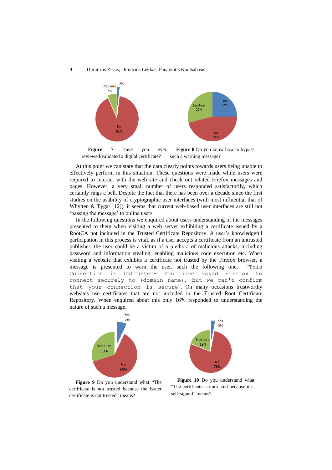

**Figure 7** Have you ever reviewed/validated a digital certificate? **Figure 8** Do you know how to bypass such a warning message?

At this point we can state that the data clearly points towards users being unable to effectively perform in this situation. These questions were made while users were required to interact with the web site and check out related Firefox messages and pages. However, a very small number of users responded satisfactorily, which certainly rings a bell. Despite the fact that there has been over a decade since the first studies on the usability of cryptographic user interfaces (with most influential that of Whytten  $\&$  Tygar [12]), it seems that current web-based user interfaces are still not 'passing the message' to online users.

In the following questions we enquired about users understanding of the messages presented to them when visiting a web server exhibiting a certificate issued by a RootCA not included in the Trusted Certificate Repository. A user's knowledgeful participation in this process is vital, as if a user accepts a certificate from an untrusted publisher, the user could be a victim of a plethora of malicious attacks, including password and information stealing, enabling malicious code execution etc. When visiting a website that exhibits a certificate not trusted by the Firefox browser, a message is presented to warn the user, such the following one, "This Connection is Untrusted- You have asked Firefox to connect securely to (domain name), but we can't confirm that your connection is secure". On many occasions trustworthy websites use certificates that are not included in the Trusted Root Certificate Repository. When enquired about this only 16% responded to understanding the nature of such a message.



**Figure 9** Do you understand what "The certificate is not trusted because the issuer certificate is not trusted" means?



**Figure 10** Do you understand what "The certificate is untrusted because it is self-signed" means?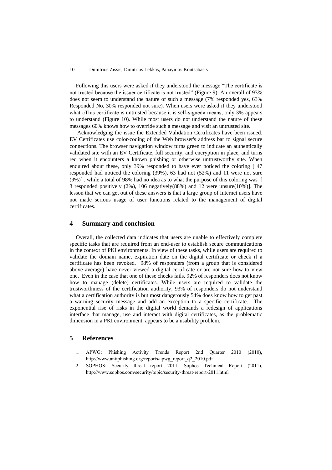Following this users were asked if they understood the message "The certificate is not trusted because the issuer certificate is not trusted" (Figure 9). An overall of 93% does not seem to understand the nature of such a message (7% responded yes, 63% Responded No, 30% responded not sure). When users were asked if they understood what «This certificate is untrusted because it is self-signed» means, only 3% appears to understand (Figure 10). While most users do not understand the nature of these messages 60% knows how to override such a message and visit an untrusted site.

Acknowledging the issue the Extended Validation Certificates have been issued. EV Certificates use color-coding of the Web browser's address bar to signal secure connections. The browser navigation window turns green to indicate an authentically validated site with an EV Certificate, full security, and encryption in place, and turns red when it encounters a known phishing or otherwise untrustworthy site. When enquired about these, only 39% responded to have ever noticed the coloring [ 47 responded had noticed the coloring (39%), 63 had not (52%) and 11 were not sure (9%)] , while a total of 98% had no idea as to what the purpose of this coloring was [ 3 responded positively (2%), 106 negatively(88%) and 12 were unsure(10%)]. The lesson that we can get out of these answers is that a large group of Internet users have not made serious usage of user functions related to the management of digital certificates.

# **4 Summary and conclusion**

Overall, the collected data indicates that users are unable to effectively complete specific tasks that are required from an end-user to establish secure communications in the context of PKI environments. In view of these tasks, while users are required to validate the domain name, expiration date on the digital certificate or check if a certificate has been revoked, 98% of responders (from a group that is considered above average) have never viewed a digital certificate or are not sure how to view one. Even in the case that one of these checks fails, 92% of responders does not know how to manage (delete) certificates. While users are required to validate the trustworthiness of the certification authority, 93% of responders do not understand what a certification authority is but most dangerously 54% does know how to get past a warning security message and add an exception to a specific certificate. The exponential rise of risks in the digital world demands a redesign of applications interface that manage, use and interact with digital certificates, as the problematic dimension in a PKI environment, appears to be a usability problem.

# **5 References**

- 1. APWG: Phishing Activity Trends Report 2nd Quarter 2010 (2010), [http://www.antiphishing.org/reports/apwg\\_report\\_q2\\_2010.pdf](http://www.antiphishing.org/reports/apwg_report_q2_2010.pdf)
- 2. SOPHOS: Security threat report 2011. Sophos Technical Report (2011), <http://www.sophos.com/security/topic/security-threat-report-2011.html>